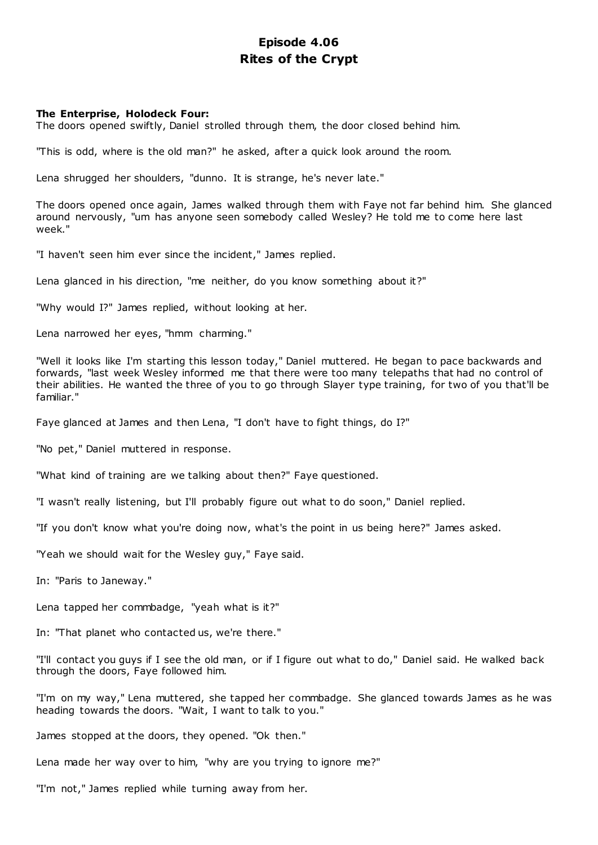# **Episode 4.06 Rites of the Crypt**

# **The Enterprise, Holodeck Four:**

The doors opened swiftly, Daniel strolled through them, the door closed behind him.

"This is odd, where is the old man?" he asked, after a quick look around the room.

Lena shrugged her shoulders, "dunno. It is strange, he's never late."

The doors opened once again, James walked through them with Faye not far behind him. She glanced around nervously, "um has anyone seen somebody called Wesley? He told me to come here last week."

"I haven't seen him ever since the incident," James replied.

Lena glanced in his direction, "me neither, do you know something about it?"

"Why would I?" James replied, without looking at her.

Lena narrowed her eyes, "hmm charming."

"Well it looks like I'm starting this lesson today," Daniel muttered. He began to pace backwards and forwards, "last week Wesley informed me that there were too many telepaths that had no control of their abilities. He wanted the three of you to go through Slayer type training, for two of you that'll be familiar."

Faye glanced at James and then Lena, "I don't have to fight things, do I?"

"No pet," Daniel muttered in response.

"What kind of training are we talking about then?" Faye questioned.

"I wasn't really listening, but I'll probably figure out what to do soon," Daniel replied.

"If you don't know what you're doing now, what's the point in us being here?" James asked.

"Yeah we should wait for the Wesley guy," Faye said.

In: "Paris to Janeway."

Lena tapped her commbadge, "yeah what is it?"

In: "That planet who contacted us, we're there."

"I'll contact you guys if I see the old man, or if I figure out what to do," Daniel said. He walked back through the doors, Faye followed him.

"I'm on my way," Lena muttered, she tapped her commbadge. She glanced towards James as he was heading towards the doors. "Wait, I want to talk to you."

James stopped at the doors, they opened. "Ok then."

Lena made her way over to him, "why are you trying to ignore me?"

"I'm not," James replied while turning away from her.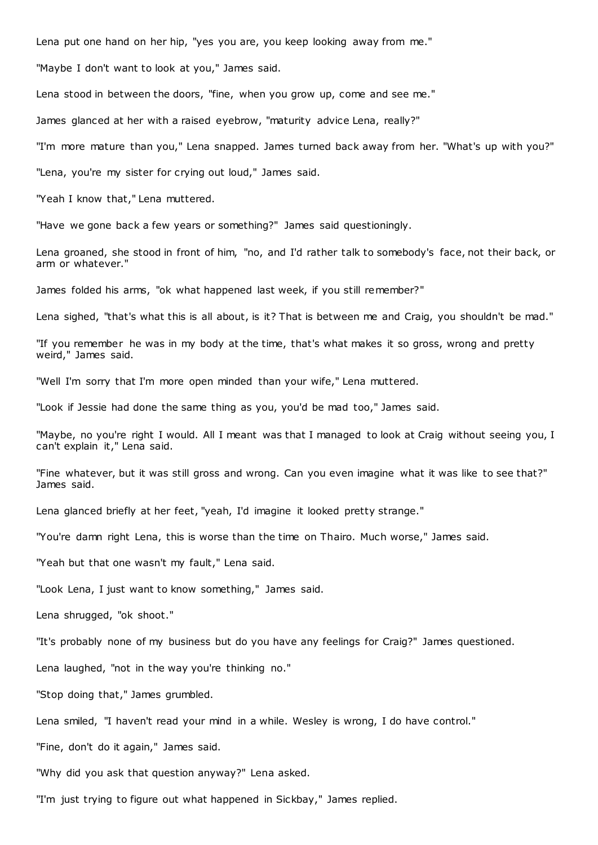Lena put one hand on her hip, "yes you are, you keep looking away from me."

"Maybe I don't want to look at you," James said.

Lena stood in between the doors, "fine, when you grow up, come and see me."

James glanced at her with a raised eyebrow, "maturity advice Lena, really?"

"I'm more mature than you," Lena snapped. James turned back away from her. "What's up with you?"

"Lena, you're my sister for crying out loud," James said.

"Yeah I know that," Lena muttered.

"Have we gone back a few years or something?" James said questioningly.

Lena groaned, she stood in front of him, "no, and I'd rather talk to somebody's face, not their back, or arm or whatever."

James folded his arms, "ok what happened last week, if you still remember?"

Lena sighed, "that's what this is all about, is it? That is between me and Craig, you shouldn't be mad."

"If you remember he was in my body at the time, that's what makes it so gross, wrong and pretty weird," James said.

"Well I'm sorry that I'm more open minded than your wife," Lena muttered.

"Look if Jessie had done the same thing as you, you'd be mad too," James said.

"Maybe, no you're right I would. All I meant was that I managed to look at Craig without seeing you, I can't explain it," Lena said.

"Fine whatever, but it was still gross and wrong. Can you even imagine what it was like to see that?" James said.

Lena glanced briefly at her feet, "yeah, I'd imagine it looked pretty strange."

"You're damn right Lena, this is worse than the time on Thairo. Much worse," James said.

"Yeah but that one wasn't my fault," Lena said.

"Look Lena, I just want to know something," James said.

Lena shrugged, "ok shoot."

"It's probably none of my business but do you have any feelings for Craig?" James questioned.

Lena laughed, "not in the way you're thinking no."

"Stop doing that," James grumbled.

Lena smiled, "I haven't read your mind in a while. Wesley is wrong, I do have control."

"Fine, don't do it again," James said.

"Why did you ask that question anyway?" Lena asked.

"I'm just trying to figure out what happened in Sickbay," James replied.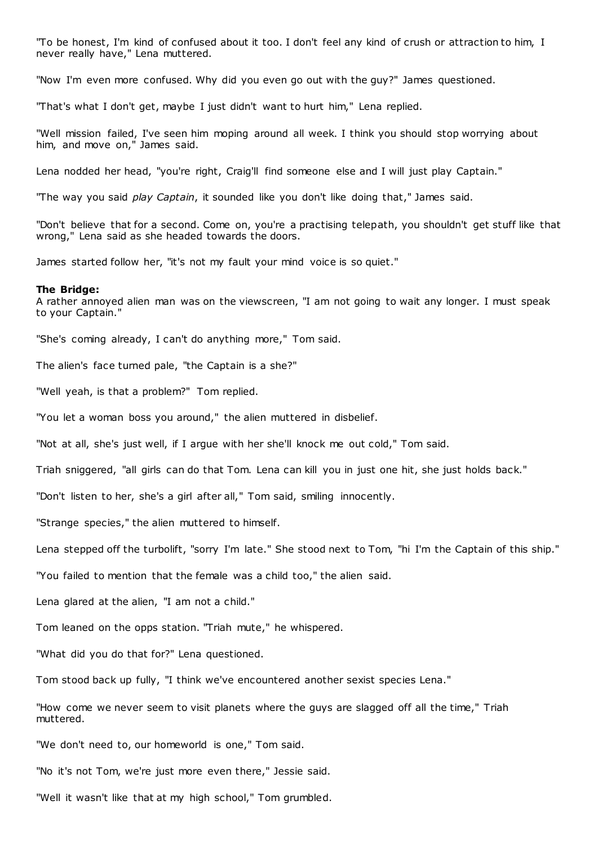"To be honest, I'm kind of confused about it too. I don't feel any kind of crush or attraction to him, I never really have," Lena muttered.

"Now I'm even more confused. Why did you even go out with the guy?" James questioned.

"That's what I don't get, maybe I just didn't want to hurt him," Lena replied.

"Well mission failed, I've seen him moping around all week. I think you should stop worrying about him, and move on," James said.

Lena nodded her head, "you're right, Craig'll find someone else and I will just play Captain."

"The way you said *play Captain*, it sounded like you don't like doing that," James said.

"Don't believe that for a second. Come on, you're a practising telepath, you shouldn't get stuff like that wrong," Lena said as she headed towards the doors.

James started follow her, "it's not my fault your mind voice is so quiet."

#### **The Bridge:**

A rather annoyed alien man was on the viewscreen, "I am not going to wait any longer. I must speak to your Captain."

"She's coming already, I can't do anything more," Tom said.

The alien's face turned pale, "the Captain is a she?"

"Well yeah, is that a problem?" Tom replied.

"You let a woman boss you around," the alien muttered in disbelief.

"Not at all, she's just well, if I argue with her she'll knock me out cold," Tom said.

Triah sniggered, "all girls can do that Tom. Lena can kill you in just one hit, she just holds back."

"Don't listen to her, she's a girl after all," Tom said, smiling innocently.

"Strange species," the alien muttered to himself.

Lena stepped off the turbolift, "sorry I'm late." She stood next to Tom, "hi I'm the Captain of this ship."

"You failed to mention that the female was a child too," the alien said.

Lena glared at the alien, "I am not a child."

Tom leaned on the opps station. "Triah mute," he whispered.

"What did you do that for?" Lena questioned.

Tom stood back up fully, "I think we've encountered another sexist species Lena."

"How come we never seem to visit planets where the guys are slagged off all the time," Triah muttered.

"We don't need to, our homeworld is one," Tom said.

"No it's not Tom, we're just more even there," Jessie said.

"Well it wasn't like that at my high school," Tom grumbled.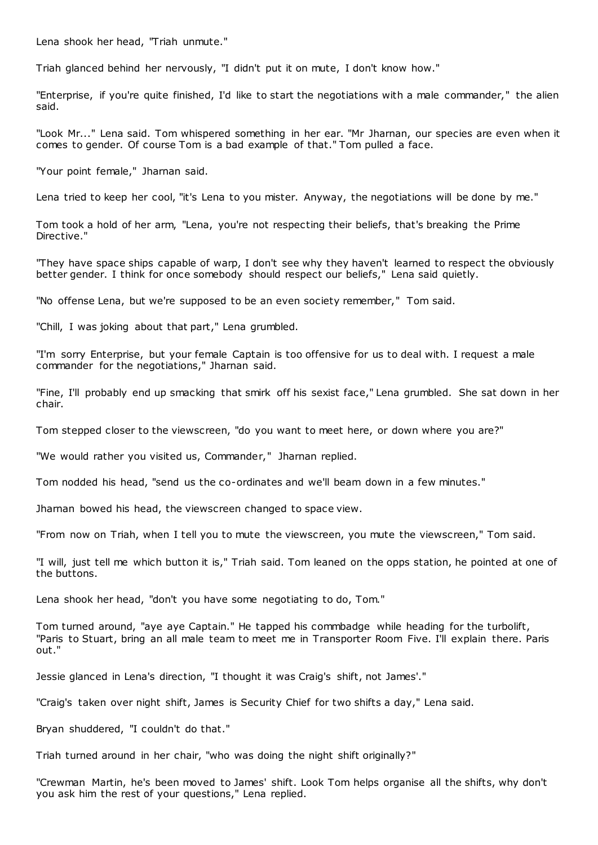Lena shook her head, "Triah unmute."

Triah glanced behind her nervously, "I didn't put it on mute, I don't know how."

"Enterprise, if you're quite finished, I'd like to start the negotiations with a male commander," the alien said.

"Look Mr..." Lena said. Tom whispered something in her ear. "Mr Jharnan, our species are even when it comes to gender. Of course Tom is a bad example of that." Tom pulled a face.

"Your point female," Jharnan said.

Lena tried to keep her cool, "it's Lena to you mister. Anyway, the negotiations will be done by me."

Tom took a hold of her arm, "Lena, you're not respecting their beliefs, that's breaking the Prime Directive."

"They have space ships capable of warp, I don't see why they haven't learned to respect the obviously better gender. I think for once somebody should respect our beliefs," Lena said quietly.

"No offense Lena, but we're supposed to be an even society remember," Tom said.

"Chill, I was joking about that part," Lena grumbled.

"I'm sorry Enterprise, but your female Captain is too offensive for us to deal with. I request a male commander for the negotiations," Jharnan said.

"Fine, I'll probably end up smacking that smirk off his sexist face," Lena grumbled. She sat down in her chair.

Tom stepped closer to the viewscreen, "do you want to meet here, or down where you are?"

"We would rather you visited us, Commander," Jharnan replied.

Tom nodded his head, "send us the co-ordinates and we'll beam down in a few minutes."

Jharnan bowed his head, the viewscreen changed to space view.

"From now on Triah, when I tell you to mute the viewscreen, you mute the viewscreen," Tom said.

"I will, just tell me which button it is," Triah said. Tom leaned on the opps station, he pointed at one of the buttons.

Lena shook her head, "don't you have some negotiating to do, Tom."

Tom turned around, "aye aye Captain." He tapped his commbadge while heading for the turbolift, "Paris to Stuart, bring an all male team to meet me in Transporter Room Five. I'll explain there. Paris out."

Jessie glanced in Lena's direction, "I thought it was Craig's shift, not James'."

"Craig's taken over night shift, James is Security Chief for two shifts a day," Lena said.

Bryan shuddered, "I couldn't do that."

Triah turned around in her chair, "who was doing the night shift originally?"

"Crewman Martin, he's been moved to James' shift. Look Tom helps organise all the shifts, why don't you ask him the rest of your questions," Lena replied.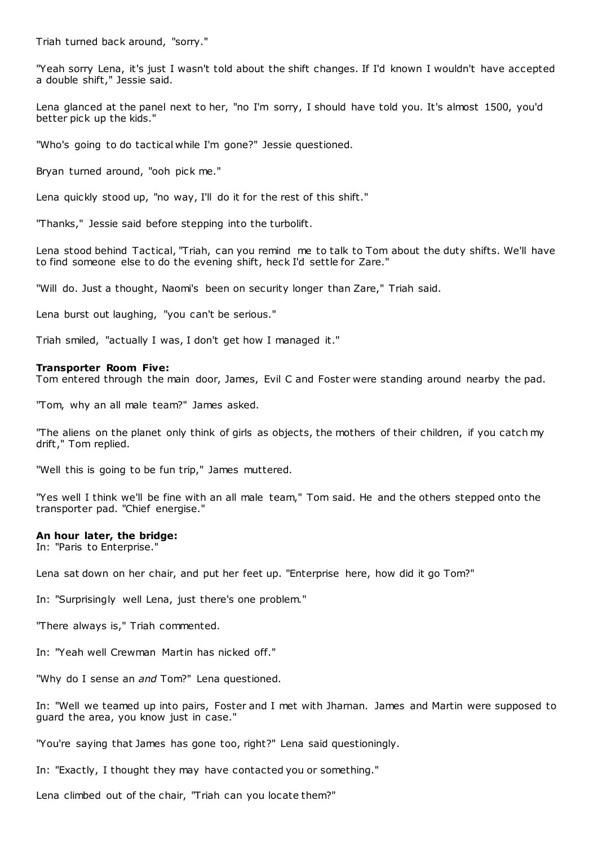Triah turned back around, "sorry."

"Yeah sorry Lena, it's just I wasn't told about the shift changes. If I'd known I wouldn't have accepted a double shift," Jessie said.

Lena glanced at the panel next to her, "no I'm sorry, I should have told you. It's almost 1500, you'd better pick up the kids."

"Who's going to do tactical while I'm gone?" Jessie questioned.

Bryan turned around, "ooh pick me."

Lena quickly stood up, "no way, I'll do it for the rest of this shift."

"Thanks," Jessie said before stepping into the turbolift.

Lena stood behind Tactical, "Triah, can you remind me to talk to Tom about the duty shifts. We'll have to find someone else to do the evening shift, heck I'd settle for Zare."

"Will do. Just a thought, Naomi's been on security longer than Zare," Triah said.

Lena burst out laughing, "you can't be serious."

Triah smiled, "actually I was, I don't get how I managed it."

## **Transporter Room Five:**

Tom entered through the main door, James, Evil C and Foster were standing around nearby the pad.

"Tom, why an all male team?" James asked.

"The aliens on the planet only think of girls as objects, the mothers of their children, if you catch my drift," Tom replied.

"Well this is going to be fun trip," James muttered.

"Yes well I think we'll be fine with an all male team," Tom said. He and the others stepped onto the transporter pad. "Chief energise."

#### **An hour later, the bridge:**

In: "Paris to Enterprise."

Lena sat down on her chair, and put her feet up. "Enterprise here, how did it go Tom?"

In: "Surprisingly well Lena, just there's one problem."

"There always is," Triah commented.

In: "Yeah well Crewman Martin has nicked off."

"Why do I sense an *and* Tom?" Lena questioned.

In: "Well we teamed up into pairs, Foster and I met with Jharnan. James and Martin were supposed to guard the area, you know just in case."

"You're saying that James has gone too, right?" Lena said questioningly.

In: "Exactly, I thought they may have contacted you or something."

Lena climbed out of the chair, "Triah can you locate them?"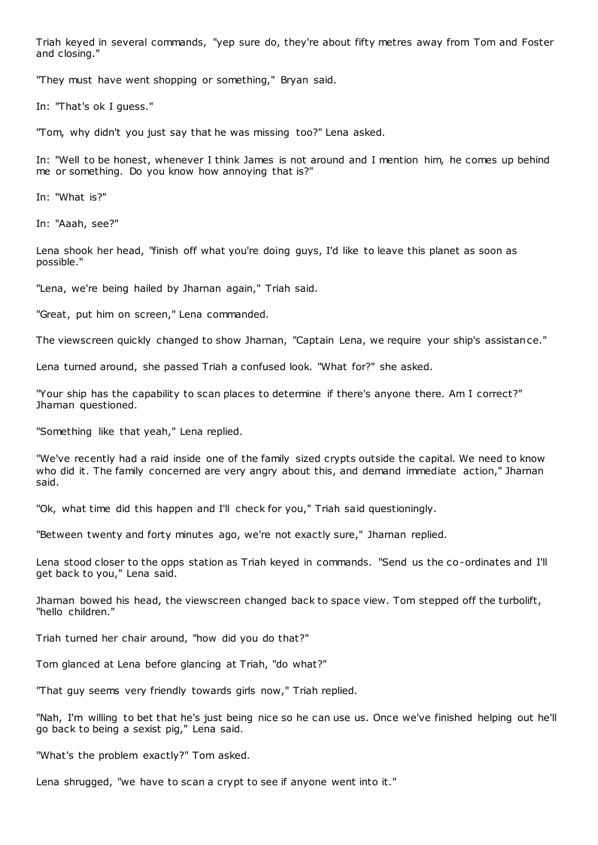Triah keyed in several commands, "yep sure do, they're about fifty metres away from Tom and Foster and closing."

"They must have went shopping or something," Bryan said.

In: "That's ok I guess."

"Tom, why didn't you just say that he was missing too?" Lena asked.

In: "Well to be honest, whenever I think James is not around and I mention him, he comes up behind me or something. Do you know how annoying that is?"

In: "What is?"

In: "Aaah, see?"

Lena shook her head, "finish off what you're doing guys, I'd like to leave this planet as soon as possible."

"Lena, we're being hailed by Jharnan again," Triah said.

"Great, put him on screen," Lena commanded.

The viewscreen quickly changed to show Jharnan, "Captain Lena, we require your ship's assistance."

Lena turned around, she passed Triah a confused look. "What for?" she asked.

"Your ship has the capability to scan places to determine if there's anyone there. Am I correct?" Jharnan questioned.

"Something like that yeah," Lena replied.

"We've recently had a raid inside one of the family sized crypts outside the capital. We need to know who did it. The family concerned are very angry about this, and demand immediate action," Jharnan said.

"Ok, what time did this happen and I'll check for you," Triah said questioningly.

"Between twenty and forty minutes ago, we're not exactly sure," Jharnan replied.

Lena stood closer to the opps station as Triah keyed in commands. "Send us the co-ordinates and I'll get back to you," Lena said.

Jharnan bowed his head, the viewscreen changed back to space view. Tom stepped off the turbolift, "hello children."

Triah turned her chair around, "how did you do that?"

Tom glanced at Lena before glancing at Triah, "do what?"

"That guy seems very friendly towards girls now," Triah replied.

"Nah, I'm willing to bet that he's just being nice so he can use us. Once we've finished helping out he'll go back to being a sexist pig," Lena said.

"What's the problem exactly?" Tom asked.

Lena shrugged, "we have to scan a crypt to see if anyone went into it."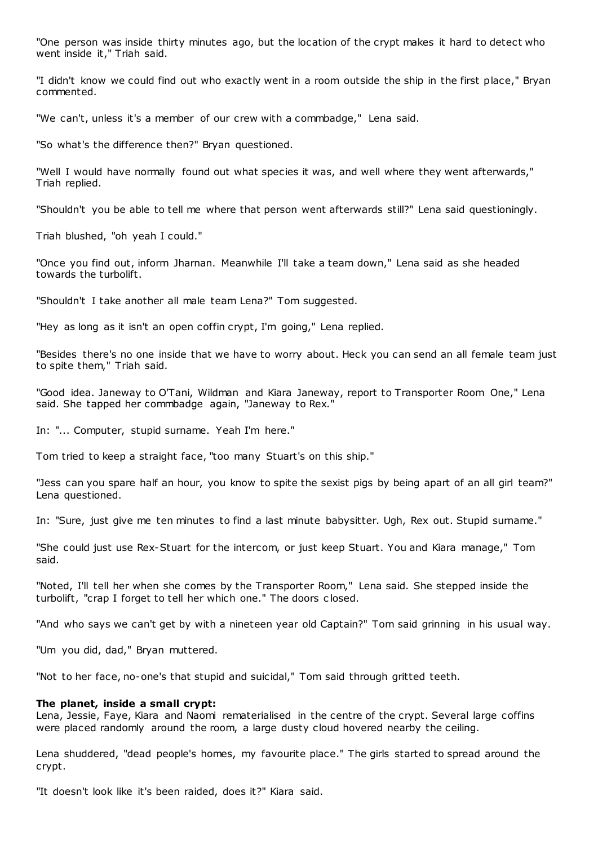"One person was inside thirty minutes ago, but the location of the crypt makes it hard to detect who went inside it," Triah said.

"I didn't know we could find out who exactly went in a room outside the ship in the first place," Bryan commented.

"We can't, unless it's a member of our crew with a commbadge," Lena said.

"So what's the difference then?" Bryan questioned.

"Well I would have normally found out what species it was, and well where they went afterwards," Triah replied.

"Shouldn't you be able to tell me where that person went afterwards still?" Lena said questioningly.

Triah blushed, "oh yeah I could."

"Once you find out, inform Jharnan. Meanwhile I'll take a team down," Lena said as she headed towards the turbolift.

"Shouldn't I take another all male team Lena?" Tom suggested.

"Hey as long as it isn't an open coffin crypt, I'm going," Lena replied.

"Besides there's no one inside that we have to worry about. Heck you can send an all female team just to spite them," Triah said.

"Good idea. Janeway to O'Tani, Wildman and Kiara Janeway, report to Transporter Room One," Lena said. She tapped her commbadge again, "Janeway to Rex."

In: "... Computer, stupid surname. Yeah I'm here."

Tom tried to keep a straight face, "too many Stuart's on this ship."

"Jess can you spare half an hour, you know to spite the sexist pigs by being apart of an all girl team?" Lena questioned.

In: "Sure, just give me ten minutes to find a last minute babysitter. Ugh, Rex out. Stupid surname."

"She could just use Rex-Stuart for the intercom, or just keep Stuart. You and Kiara manage," Tom said.

"Noted, I'll tell her when she comes by the Transporter Room," Lena said. She stepped inside the turbolift, "crap I forget to tell her which one." The doors c losed.

"And who says we can't get by with a nineteen year old Captain?" Tom said grinning in his usual way.

"Um you did, dad," Bryan muttered.

"Not to her face, no-one's that stupid and suicidal," Tom said through gritted teeth.

## **The planet, inside a small crypt:**

Lena, Jessie, Faye, Kiara and Naomi rematerialised in the centre of the crypt. Several large coffins were placed randomly around the room, a large dusty cloud hovered nearby the ceiling.

Lena shuddered, "dead people's homes, my favourite place." The girls started to spread around the crypt.

"It doesn't look like it's been raided, does it?" Kiara said.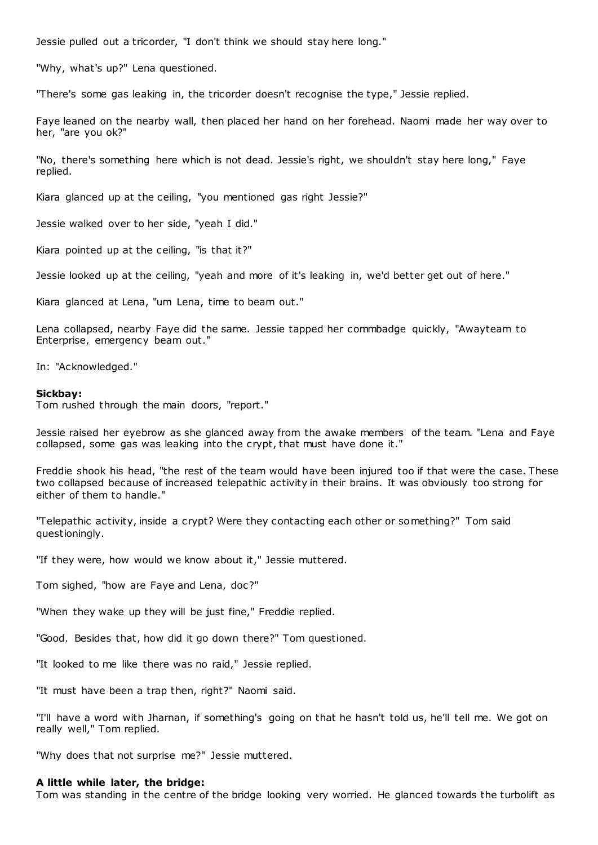Jessie pulled out a tricorder, "I don't think we should stay here long."

"Why, what's up?" Lena questioned.

"There's some gas leaking in, the tricorder doesn't recognise the type," Jessie replied.

Faye leaned on the nearby wall, then placed her hand on her forehead. Naomi made her way over to her, "are you ok?"

"No, there's something here which is not dead. Jessie's right, we shouldn't stay here long," Faye replied.

Kiara glanced up at the ceiling, "you mentioned gas right Jessie?"

Jessie walked over to her side, "yeah I did."

Kiara pointed up at the ceiling, "is that it?"

Jessie looked up at the ceiling, "yeah and more of it's leaking in, we'd better get out of here."

Kiara glanced at Lena, "um Lena, time to beam out."

Lena collapsed, nearby Faye did the same. Jessie tapped her commbadge quickly, "Awayteam to Enterprise, emergency beam out."

In: "Acknowledged."

#### **Sickbay:**

Tom rushed through the main doors, "report."

Jessie raised her eyebrow as she glanced away from the awake members of the team. "Lena and Faye collapsed, some gas was leaking into the crypt, that must have done it."

Freddie shook his head, "the rest of the team would have been injured too if that were the case. These two collapsed because of increased telepathic activity in their brains. It was obviously too strong for either of them to handle."

"Telepathic activity, inside a crypt? Were they contacting each other or something?" Tom said questioningly.

"If they were, how would we know about it," Jessie muttered.

Tom sighed, "how are Faye and Lena, doc?"

"When they wake up they will be just fine," Freddie replied.

"Good. Besides that, how did it go down there?" Tom questioned.

"It looked to me like there was no raid," Jessie replied.

"It must have been a trap then, right?" Naomi said.

"I'll have a word with Jharnan, if something's going on that he hasn't told us, he'll tell me. We got on really well," Tom replied.

"Why does that not surprise me?" Jessie muttered.

#### **A little while later, the bridge:**

Tom was standing in the centre of the bridge looking very worried. He glanced towards the turbolift as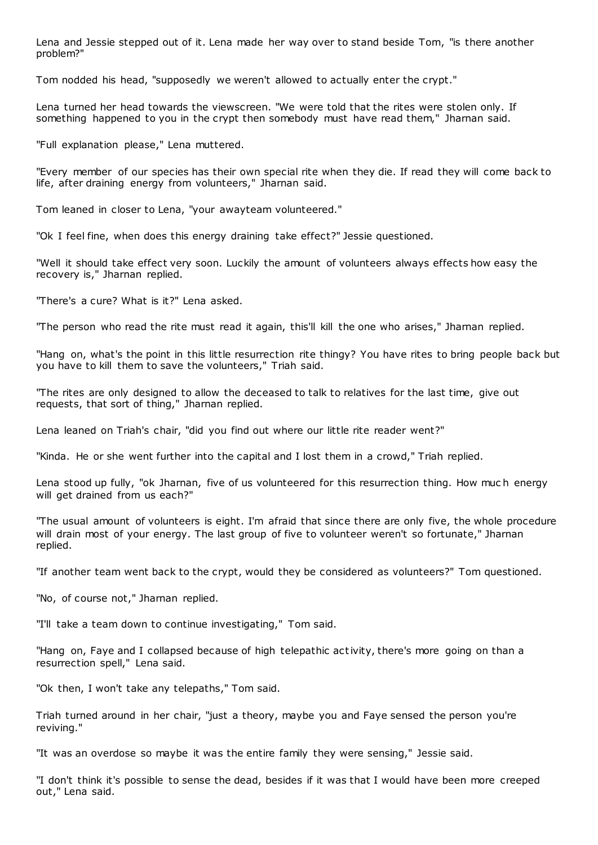Lena and Jessie stepped out of it. Lena made her way over to stand beside Tom, "is there another problem?"

Tom nodded his head, "supposedly we weren't allowed to actually enter the crypt."

Lena turned her head towards the viewscreen. "We were told that the rites were stolen only. If something happened to you in the crypt then somebody must have read them," Jharnan said.

"Full explanation please," Lena muttered.

"Every member of our species has their own special rite when they die. If read they will come back to life, after draining energy from volunteers," Jharnan said.

Tom leaned in closer to Lena, "your awayteam volunteered."

"Ok I feel fine, when does this energy draining take effect?" Jessie questioned.

"Well it should take effect very soon. Luckily the amount of volunteers always effects how easy the recovery is," Jharnan replied.

"There's a cure? What is it?" Lena asked.

"The person who read the rite must read it again, this'll kill the one who arises," Jharnan replied.

"Hang on, what's the point in this little resurrection rite thingy? You have rites to bring people back but you have to kill them to save the volunteers," Triah said.

"The rites are only designed to allow the deceased to talk to relatives for the last time, give out requests, that sort of thing," Jharnan replied.

Lena leaned on Triah's chair, "did you find out where our little rite reader went?"

"Kinda. He or she went further into the capital and I lost them in a crowd," Triah replied.

Lena stood up fully, "ok Jharnan, five of us volunteered for this resurrection thing. How muc h energy will get drained from us each?"

"The usual amount of volunteers is eight. I'm afraid that since there are only five, the whole procedure will drain most of your energy. The last group of five to volunteer weren't so fortunate," Jharnan replied.

"If another team went back to the crypt, would they be considered as volunteers?" Tom questioned.

"No, of course not," Jharnan replied.

"I'll take a team down to continue investigating," Tom said.

"Hang on, Faye and I collapsed because of high telepathic activity, there's more going on than a resurrection spell," Lena said.

"Ok then, I won't take any telepaths," Tom said.

Triah turned around in her chair, "just a theory, maybe you and Faye sensed the person you're reviving."

"It was an overdose so maybe it was the entire family they were sensing," Jessie said.

"I don't think it's possible to sense the dead, besides if it was that I would have been more creeped out," Lena said.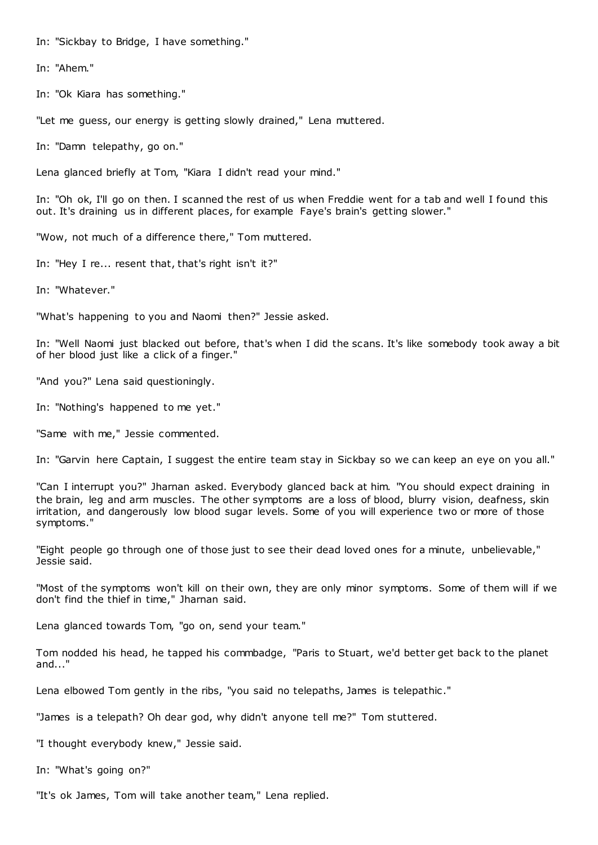In: "Sickbay to Bridge, I have something."

In: "Ahem."

In: "Ok Kiara has something."

"Let me guess, our energy is getting slowly drained," Lena muttered.

In: "Damn telepathy, go on."

Lena glanced briefly at Tom, "Kiara I didn't read your mind."

In: "Oh ok, I'll go on then. I scanned the rest of us when Freddie went for a tab and well I found this out. It's draining us in different places, for example Faye's brain's getting slower."

"Wow, not much of a difference there," Tom muttered.

In: "Hey I re... resent that, that's right isn't it?"

In: "Whatever."

"What's happening to you and Naomi then?" Jessie asked.

In: "Well Naomi just blacked out before, that's when I did the scans. It's like somebody took away a bit of her blood just like a click of a finger."

"And you?" Lena said questioningly.

In: "Nothing's happened to me yet."

"Same with me," Jessie commented.

In: "Garvin here Captain, I suggest the entire team stay in Sickbay so we can keep an eye on you all."

"Can I interrupt you?" Jharnan asked. Everybody glanced back at him. "You should expect draining in the brain, leg and arm muscles. The other symptoms are a loss of blood, blurry vision, deafness, skin irritation, and dangerously low blood sugar levels. Some of you will experience two or more of those symptoms."

"Eight people go through one of those just to see their dead loved ones for a minute, unbelievable," Jessie said.

"Most of the symptoms won't kill on their own, they are only minor symptoms. Some of them will if we don't find the thief in time," Jharnan said.

Lena glanced towards Tom, "go on, send your team."

Tom nodded his head, he tapped his commbadge, "Paris to Stuart, we'd better get back to the planet and...'

Lena elbowed Tom gently in the ribs, "you said no telepaths, James is telepathic."

"James is a telepath? Oh dear god, why didn't anyone tell me?" Tom stuttered.

"I thought everybody knew," Jessie said.

In: "What's going on?"

"It's ok James, Tom will take another team," Lena replied.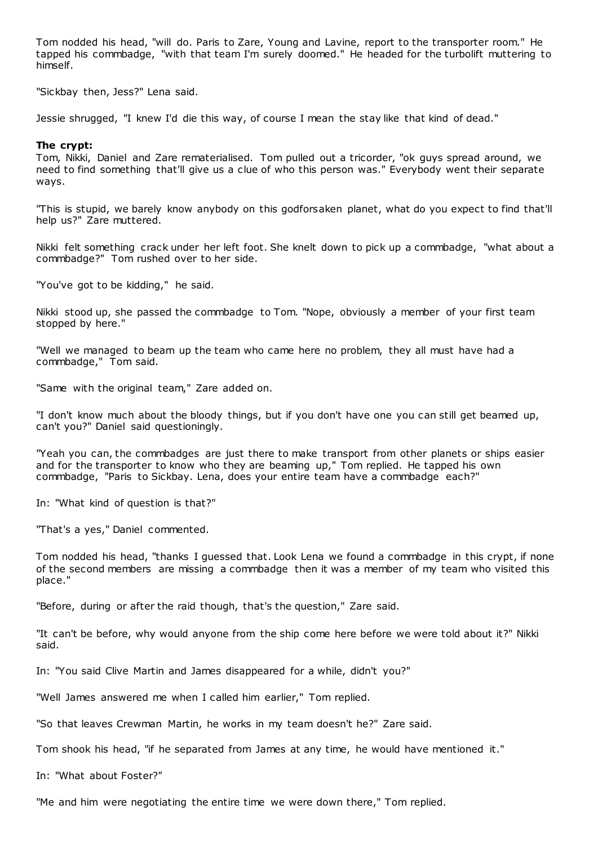Tom nodded his head, "will do. Paris to Zare, Young and Lavine, report to the transporter room." He tapped his commbadge, "with that team I'm surely doomed." He headed for the turbolift muttering to himself.

"Sickbay then, Jess?" Lena said.

Jessie shrugged, "I knew I'd die this way, of course I mean the stay like that kind of dead."

# **The crypt:**

Tom, Nikki, Daniel and Zare rematerialised. Tom pulled out a tricorder, "ok guys spread around, we need to find something that'll give us a clue of who this person was." Everybody went their separate ways.

"This is stupid, we barely know anybody on this godforsaken planet, what do you expect to find that'll help us?" Zare muttered.

Nikki felt something crack under her left foot. She knelt down to pick up a commbadge, "what about a commbadge?" Tom rushed over to her side.

"You've got to be kidding," he said.

Nikki stood up, she passed the commbadge to Tom. "Nope, obviously a member of your first team stopped by here."

"Well we managed to beam up the team who came here no problem, they all must have had a commbadge," Tom said.

"Same with the original team," Zare added on.

"I don't know much about the bloody things, but if you don't have one you can still get beamed up, can't you?" Daniel said questioningly.

"Yeah you can, the commbadges are just there to make transport from other planets or ships easier and for the transporter to know who they are beaming up," Tom replied. He tapped his own commbadge, "Paris to Sickbay. Lena, does your entire team have a commbadge each?"

In: "What kind of question is that?"

"That's a yes," Daniel commented.

Tom nodded his head, "thanks I guessed that. Look Lena we found a commbadge in this crypt, if none of the second members are missing a commbadge then it was a member of my team who visited this place."

"Before, during or after the raid though, that's the question," Zare said.

"It can't be before, why would anyone from the ship come here before we were told about it?" Nikki said.

In: "You said Clive Martin and James disappeared for a while, didn't you?"

"Well James answered me when I called him earlier," Tom replied.

"So that leaves Crewman Martin, he works in my team doesn't he?" Zare said.

Tom shook his head, "if he separated from James at any time, he would have mentioned it."

In: "What about Foster?"

"Me and him were negotiating the entire time we were down there," Tom replied.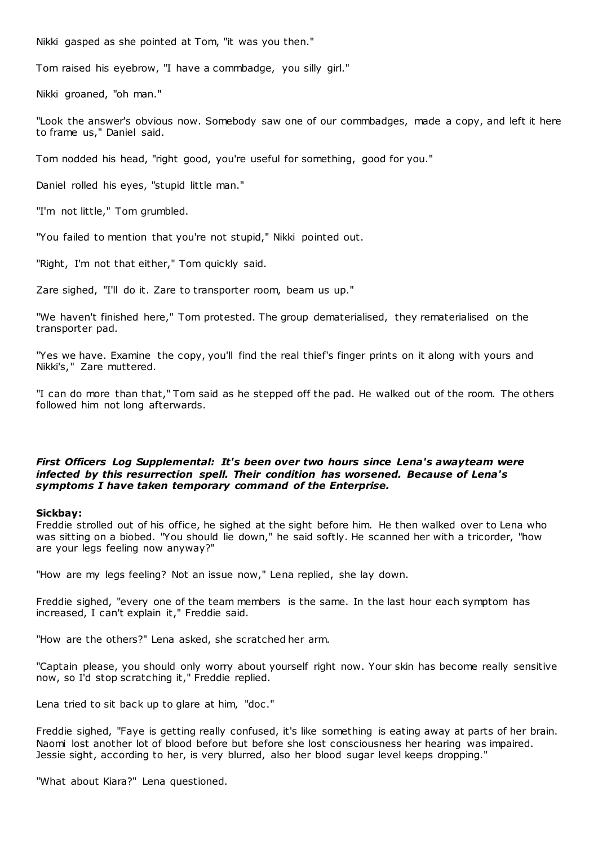Nikki gasped as she pointed at Tom, "it was you then."

Tom raised his eyebrow, "I have a commbadge, you silly girl."

Nikki groaned, "oh man."

"Look the answer's obvious now. Somebody saw one of our commbadges, made a copy, and left it here to frame us," Daniel said.

Tom nodded his head, "right good, you're useful for something, good for you."

Daniel rolled his eyes, "stupid little man."

"I'm not little," Tom grumbled.

"You failed to mention that you're not stupid," Nikki pointed out.

"Right, I'm not that either," Tom quickly said.

Zare sighed, "I'll do it. Zare to transporter room, beam us up."

"We haven't finished here," Tom protested. The group dematerialised, they rematerialised on the transporter pad.

"Yes we have. Examine the copy, you'll find the real thief's finger prints on it along with yours and Nikki's," Zare muttered.

"I can do more than that," Tom said as he stepped off the pad. He walked out of the room. The others followed him not long afterwards.

# *First Officers Log Supplemental: It's been over two hours since Lena's awayteam were infected by this resurrection spell. Their condition has worsened. Because of Lena's symptoms I have taken temporary command of the Enterprise.*

## **Sickbay:**

Freddie strolled out of his office, he sighed at the sight before him. He then walked over to Lena who was sitting on a biobed. "You should lie down," he said softly. He scanned her with a tricorder, "how are your legs feeling now anyway?"

"How are my legs feeling? Not an issue now," Lena replied, she lay down.

Freddie sighed, "every one of the team members is the same. In the last hour each symptom has increased, I can't explain it," Freddie said.

"How are the others?" Lena asked, she scratched her arm.

"Captain please, you should only worry about yourself right now. Your skin has become really sensitive now, so I'd stop scratching it," Freddie replied.

Lena tried to sit back up to glare at him, "doc ."

Freddie sighed, "Faye is getting really confused, it's like something is eating away at parts of her brain. Naomi lost another lot of blood before but before she lost consciousness her hearing was impaired. Jessie sight, according to her, is very blurred, also her blood sugar level keeps dropping."

"What about Kiara?" Lena questioned.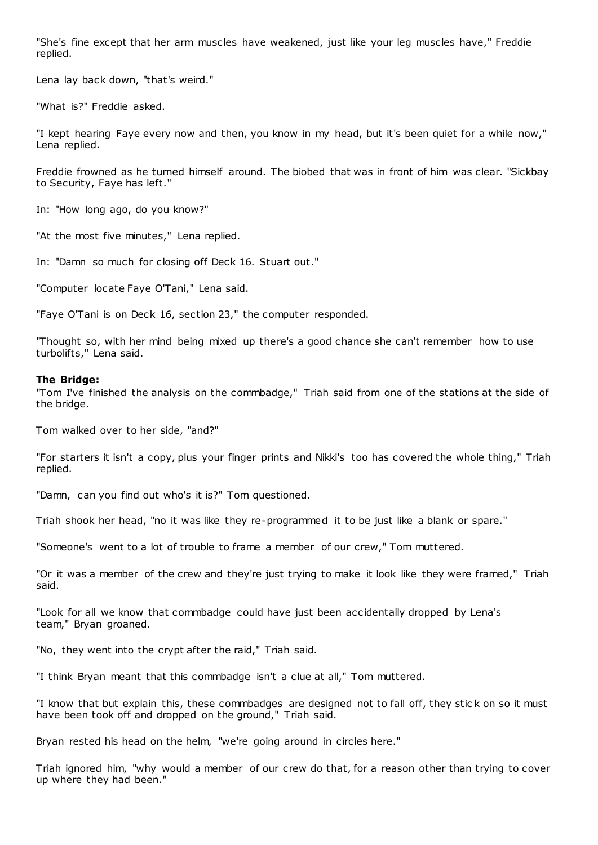"She's fine except that her arm muscles have weakened, just like your leg muscles have," Freddie replied.

Lena lay back down, "that's weird."

"What is?" Freddie asked.

"I kept hearing Faye every now and then, you know in my head, but it's been quiet for a while now," Lena replied.

Freddie frowned as he turned himself around. The biobed that was in front of him was clear. "Sickbay to Security, Faye has left."

In: "How long ago, do you know?"

"At the most five minutes," Lena replied.

In: "Damn so much for closing off Deck 16. Stuart out."

"Computer locate Faye O'Tani," Lena said.

"Faye O'Tani is on Deck 16, section 23," the computer responded.

"Thought so, with her mind being mixed up there's a good chance she can't remember how to use turbolifts," Lena said.

## **The Bridge:**

"Tom I've finished the analysis on the commbadge," Triah said from one of the stations at the side of the bridge.

Tom walked over to her side, "and?"

"For starters it isn't a copy, plus your finger prints and Nikki's too has covered the whole thing," Triah replied.

"Damn, can you find out who's it is?" Tom questioned.

Triah shook her head, "no it was like they re-programmed it to be just like a blank or spare."

"Someone's went to a lot of trouble to frame a member of our crew," Tom muttered.

"Or it was a member of the crew and they're just trying to make it look like they were framed," Triah said.

"Look for all we know that commbadge could have just been accidentally dropped by Lena's team," Bryan groaned.

"No, they went into the crypt after the raid," Triah said.

"I think Bryan meant that this commbadge isn't a clue at all," Tom muttered.

"I know that but explain this, these commbadges are designed not to fall off, they stic k on so it must have been took off and dropped on the ground," Triah said.

Bryan rested his head on the helm, "we're going around in circles here."

Triah ignored him, "why would a member of our crew do that, for a reason other than trying to cover up where they had been."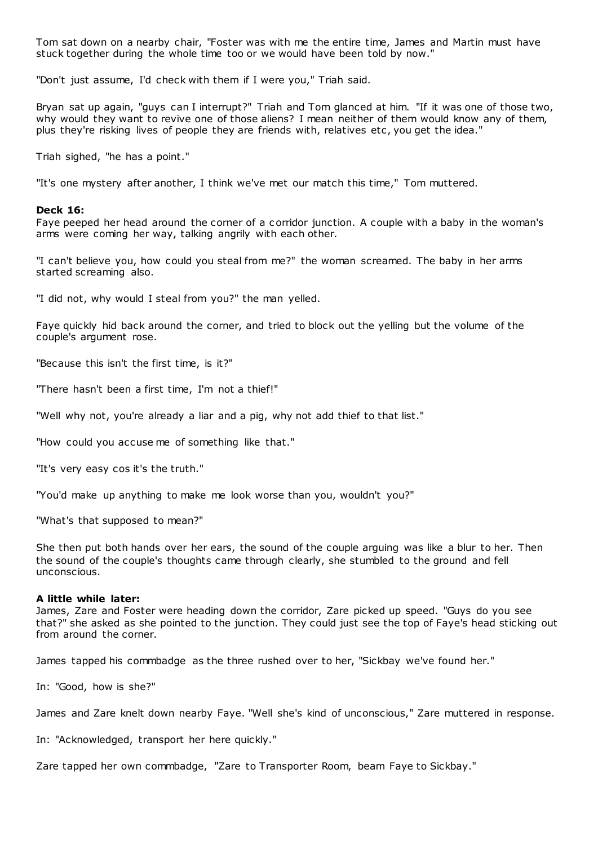Tom sat down on a nearby chair, "Foster was with me the entire time, James and Martin must have stuck together during the whole time too or we would have been told by now."

"Don't just assume, I'd check with them if I were you," Triah said.

Bryan sat up again, "guys can I interrupt?" Triah and Tom glanced at him. "If it was one of those two, why would they want to revive one of those aliens? I mean neither of them would know any of them, plus they're risking lives of people they are friends with, relatives etc, you get the idea."

Triah sighed, "he has a point."

"It's one mystery after another, I think we've met our match this time," Tom muttered.

#### **Deck 16:**

Faye peeped her head around the corner of a corridor junction. A couple with a baby in the woman's arms were coming her way, talking angrily with each other.

"I can't believe you, how could you steal from me?" the woman screamed. The baby in her arms started screaming also.

"I did not, why would I steal from you?" the man yelled.

Faye quickly hid back around the corner, and tried to block out the yelling but the volume of the couple's argument rose.

"Because this isn't the first time, is it?"

"There hasn't been a first time, I'm not a thief!"

"Well why not, you're already a liar and a pig, why not add thief to that list."

"How could you accuse me of something like that."

"It's very easy cos it's the truth."

"You'd make up anything to make me look worse than you, wouldn't you?"

"What's that supposed to mean?"

She then put both hands over her ears, the sound of the couple arguing was like a blur to her. Then the sound of the couple's thoughts came through clearly, she stumbled to the ground and fell unconscious.

## **A little while later:**

James, Zare and Foster were heading down the corridor, Zare picked up speed. "Guys do you see that?" she asked as she pointed to the junction. They could just see the top of Faye's head sticking out from around the corner.

James tapped his commbadge as the three rushed over to her, "Sickbay we've found her."

In: "Good, how is she?"

James and Zare knelt down nearby Faye. "Well she's kind of unconscious," Zare muttered in response.

In: "Acknowledged, transport her here quickly."

Zare tapped her own commbadge, "Zare to Transporter Room, beam Faye to Sickbay."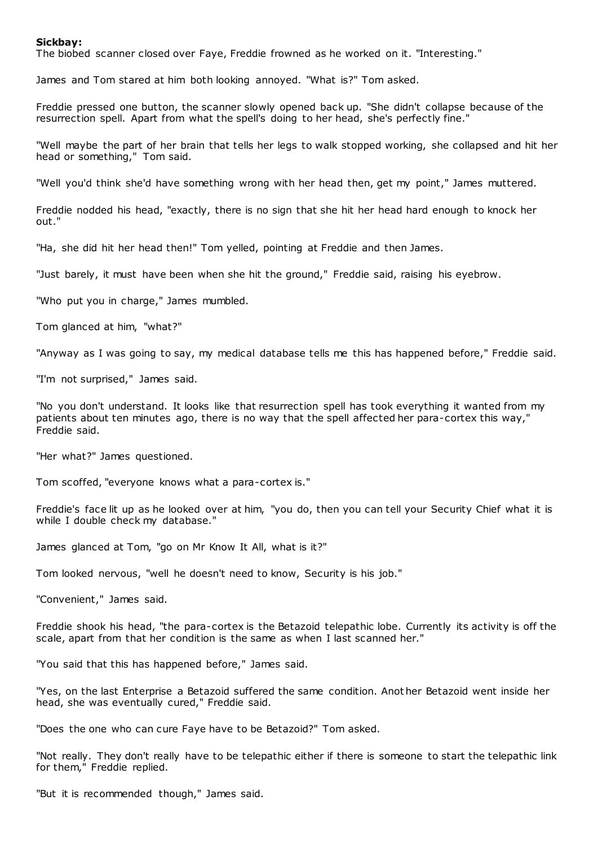# **Sickbay:**

The biobed scanner closed over Faye, Freddie frowned as he worked on it. "Interesting."

James and Tom stared at him both looking annoyed. "What is?" Tom asked.

Freddie pressed one button, the scanner slowly opened back up. "She didn't collapse because of the resurrection spell. Apart from what the spell's doing to her head, she's perfectly fine."

"Well maybe the part of her brain that tells her legs to walk stopped working, she collapsed and hit her head or something," Tom said.

"Well you'd think she'd have something wrong with her head then, get my point," James muttered.

Freddie nodded his head, "exactly, there is no sign that she hit her head hard enough to knock her out."

"Ha, she did hit her head then!" Tom yelled, pointing at Freddie and then James.

"Just barely, it must have been when she hit the ground," Freddie said, raising his eyebrow.

"Who put you in charge," James mumbled.

Tom glanced at him, "what?"

"Anyway as I was going to say, my medical database tells me this has happened before," Freddie said.

"I'm not surprised," James said.

"No you don't understand. It looks like that resurrection spell has took everything it wanted from my patients about ten minutes ago, there is no way that the spell affected her para-cortex this way," Freddie said.

"Her what?" James questioned.

Tom scoffed, "everyone knows what a para-cortex is."

Freddie's face lit up as he looked over at him, "you do, then you can tell your Security Chief what it is while I double check my database."

James glanced at Tom, "go on Mr Know It All, what is it?"

Tom looked nervous, "well he doesn't need to know, Security is his job."

"Convenient," James said.

Freddie shook his head, "the para-cortex is the Betazoid telepathic lobe. Currently its activity is off the scale, apart from that her condition is the same as when I last scanned her."

"You said that this has happened before," James said.

"Yes, on the last Enterprise a Betazoid suffered the same condition. Anot her Betazoid went inside her head, she was eventually cured," Freddie said.

"Does the one who can cure Faye have to be Betazoid?" Tom asked.

"Not really. They don't really have to be telepathic either if there is someone to start the telepathic link for them," Freddie replied.

"But it is recommended though," James said.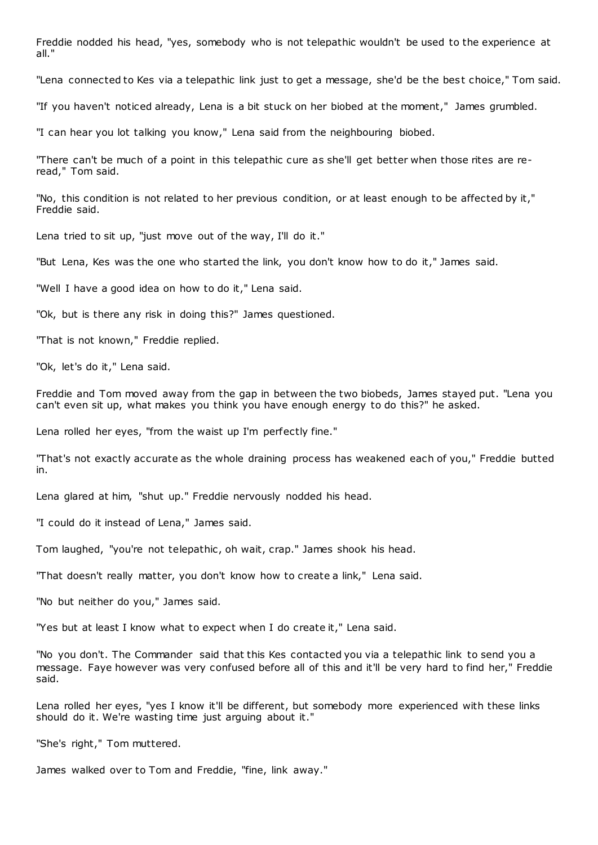Freddie nodded his head, "yes, somebody who is not telepathic wouldn't be used to the experience at all."

"Lena connected to Kes via a telepathic link just to get a message, she'd be the best choice," Tom said.

"If you haven't noticed already, Lena is a bit stuck on her biobed at the moment," James grumbled.

"I can hear you lot talking you know," Lena said from the neighbouring biobed.

"There can't be much of a point in this telepathic cure as she'll get better when those rites are reread," Tom said.

"No, this condition is not related to her previous condition, or at least enough to be affected by it," Freddie said.

Lena tried to sit up, "just move out of the way, I'll do it."

"But Lena, Kes was the one who started the link, you don't know how to do it," James said.

"Well I have a good idea on how to do it," Lena said.

"Ok, but is there any risk in doing this?" James questioned.

"That is not known," Freddie replied.

"Ok, let's do it," Lena said.

Freddie and Tom moved away from the gap in between the two biobeds, James stayed put. "Lena you can't even sit up, what makes you think you have enough energy to do this?" he asked.

Lena rolled her eyes, "from the waist up I'm perfectly fine."

"That's not exactly accurate as the whole draining process has weakened each of you," Freddie butted in.

Lena glared at him, "shut up." Freddie nervously nodded his head.

"I could do it instead of Lena," James said.

Tom laughed, "you're not telepathic , oh wait, crap." James shook his head.

"That doesn't really matter, you don't know how to create a link," Lena said.

"No but neither do you," James said.

"Yes but at least I know what to expect when I do create it," Lena said.

"No you don't. The Commander said that this Kes contacted you via a telepathic link to send you a message. Faye however was very confused before all of this and it'll be very hard to find her," Freddie said.

Lena rolled her eyes, "yes I know it'll be different, but somebody more experienced with these links should do it. We're wasting time just arguing about it."

"She's right," Tom muttered.

James walked over to Tom and Freddie, "fine, link away."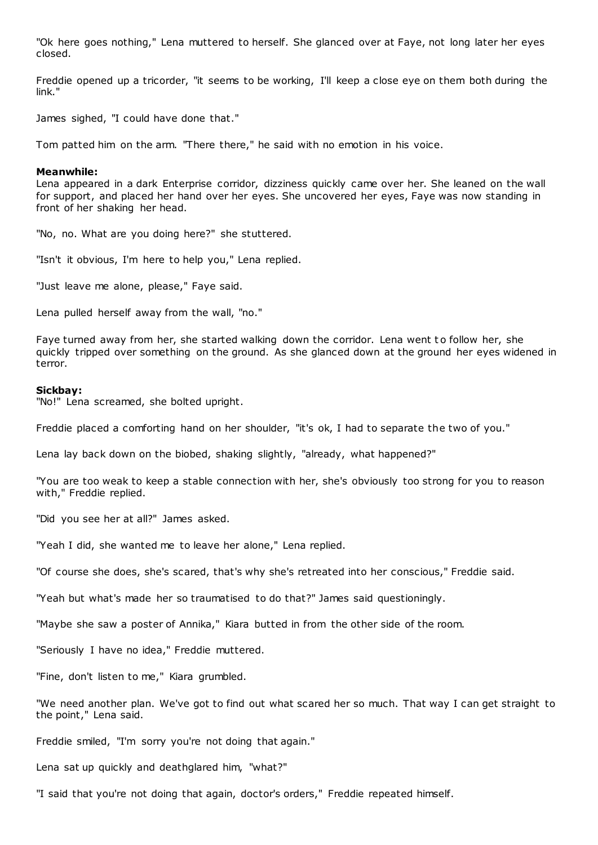"Ok here goes nothing," Lena muttered to herself. She glanced over at Faye, not long later her eyes closed.

Freddie opened up a tricorder, "it seems to be working, I'll keep a close eye on them both during the link."

James sighed, "I could have done that."

Tom patted him on the arm. "There there," he said with no emotion in his voice.

## **Meanwhile:**

Lena appeared in a dark Enterprise corridor, dizziness quickly came over her. She leaned on the wall for support, and placed her hand over her eyes. She uncovered her eyes, Faye was now standing in front of her shaking her head.

"No, no. What are you doing here?" she stuttered.

"Isn't it obvious, I'm here to help you," Lena replied.

"Just leave me alone, please," Faye said.

Lena pulled herself away from the wall, "no."

Faye turned away from her, she started walking down the corridor. Lena went to follow her, she quickly tripped over something on the ground. As she glanced down at the ground her eyes widened in terror.

## **Sickbay:**

"No!" Lena screamed, she bolted upright.

Freddie placed a comforting hand on her shoulder, "it's ok, I had to separate the two of you."

Lena lay back down on the biobed, shaking slightly, "already, what happened?"

"You are too weak to keep a stable connection with her, she's obviously too strong for you to reason with," Freddie replied.

"Did you see her at all?" James asked.

"Yeah I did, she wanted me to leave her alone," Lena replied.

"Of course she does, she's scared, that's why she's retreated into her conscious," Freddie said.

"Yeah but what's made her so traumatised to do that?" James said questioningly.

"Maybe she saw a poster of Annika," Kiara butted in from the other side of the room.

"Seriously I have no idea," Freddie muttered.

"Fine, don't listen to me," Kiara grumbled.

"We need another plan. We've got to find out what scared her so much. That way I can get straight to the point," Lena said.

Freddie smiled, "I'm sorry you're not doing that again."

Lena sat up quickly and deathglared him, "what?"

"I said that you're not doing that again, doctor's orders," Freddie repeated himself.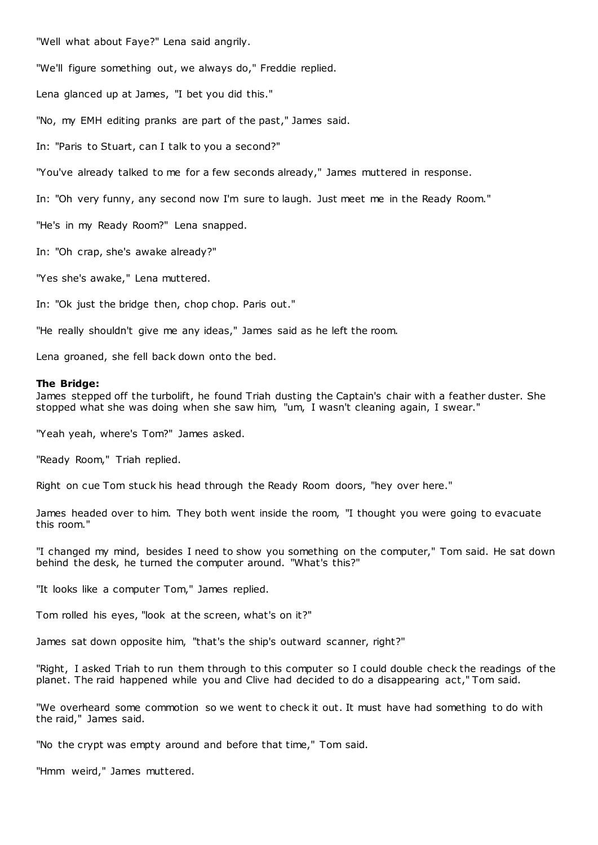"Well what about Faye?" Lena said angrily.

"We'll figure something out, we always do," Freddie replied.

Lena glanced up at James, "I bet you did this."

"No, my EMH editing pranks are part of the past," James said.

In: "Paris to Stuart, can I talk to you a second?"

"You've already talked to me for a few seconds already," James muttered in response.

In: "Oh very funny, any second now I'm sure to laugh. Just meet me in the Ready Room."

"He's in my Ready Room?" Lena snapped.

In: "Oh crap, she's awake already?"

"Yes she's awake," Lena muttered.

In: "Ok just the bridge then, chop chop. Paris out."

"He really shouldn't give me any ideas," James said as he left the room.

Lena groaned, she fell back down onto the bed.

#### **The Bridge:**

James stepped off the turbolift, he found Triah dusting the Captain's chair with a feather duster. She stopped what she was doing when she saw him, "um, I wasn't cleaning again, I swear."

"Yeah yeah, where's Tom?" James asked.

"Ready Room," Triah replied.

Right on cue Tom stuck his head through the Ready Room doors, "hey over here."

James headed over to him. They both went inside the room, "I thought you were going to evacuate this room."

"I changed my mind, besides I need to show you something on the computer," Tom said. He sat down behind the desk, he turned the computer around. "What's this?"

"It looks like a computer Tom," James replied.

Tom rolled his eyes, "look at the screen, what's on it?"

James sat down opposite him, "that's the ship's outward scanner, right?"

"Right, I asked Triah to run them through to this computer so I could double check the readings of the planet. The raid happened while you and Clive had decided to do a disappearing act," Tom said.

"We overheard some commotion so we went to check it out. It must have had something to do with the raid," James said.

"No the crypt was empty around and before that time," Tom said.

"Hmm weird," James muttered.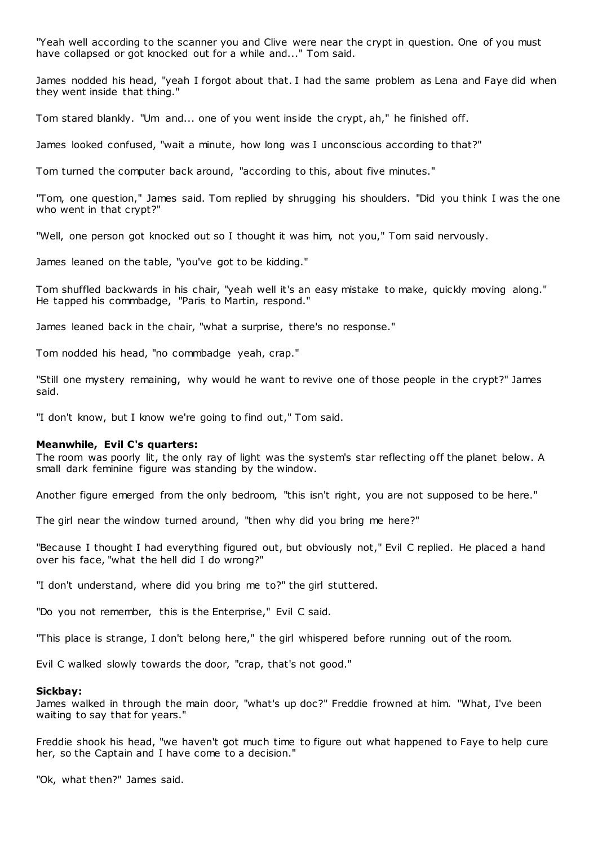"Yeah well according to the scanner you and Clive were near the crypt in question. One of you must have collapsed or got knocked out for a while and..." Tom said.

James nodded his head, "yeah I forgot about that. I had the same problem as Lena and Faye did when they went inside that thing."

Tom stared blankly. "Um and... one of you went inside the crypt, ah," he finished off.

James looked confused, "wait a minute, how long was I unconscious according to that?"

Tom turned the computer back around, "according to this, about five minutes."

"Tom, one question," James said. Tom replied by shrugging his shoulders. "Did you think I was the one who went in that crypt?"

"Well, one person got knocked out so I thought it was him, not you," Tom said nervously.

James leaned on the table, "you've got to be kidding."

Tom shuffled backwards in his chair, "yeah well it's an easy mistake to make, quickly moving along." He tapped his commbadge, "Paris to Martin, respond."

James leaned back in the chair, "what a surprise, there's no response."

Tom nodded his head, "no commbadge yeah, crap."

"Still one mystery remaining, why would he want to revive one of those people in the crypt?" James said.

"I don't know, but I know we're going to find out," Tom said.

## **Meanwhile, Evil C's quarters:**

The room was poorly lit, the only ray of light was the system's star reflecting off the planet below. A small dark feminine figure was standing by the window.

Another figure emerged from the only bedroom, "this isn't right, you are not supposed to be here."

The girl near the window turned around, "then why did you bring me here?"

"Because I thought I had everything figured out, but obviously not," Evil C replied. He placed a hand over his face, "what the hell did I do wrong?"

"I don't understand, where did you bring me to?" the girl stuttered.

"Do you not remember, this is the Enterprise," Evil C said.

"This place is strange, I don't belong here," the girl whispered before running out of the room.

Evil C walked slowly towards the door, "crap, that's not good."

## **Sickbay:**

James walked in through the main door, "what's up doc?" Freddie frowned at him. "What, I've been waiting to say that for years."

Freddie shook his head, "we haven't got much time to figure out what happened to Faye to help cure her, so the Captain and I have come to a decision."

"Ok, what then?" James said.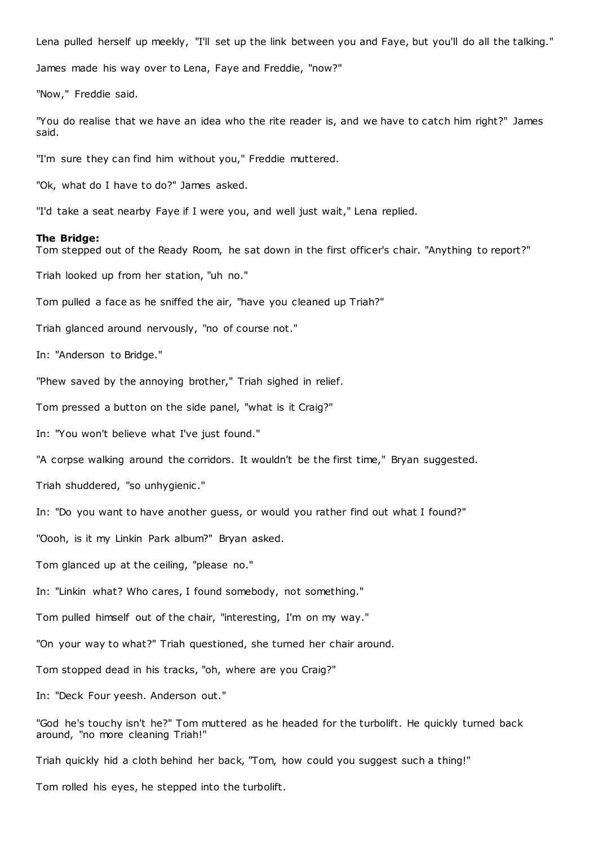Lena pulled herself up meekly, "I'll set up the link between you and Faye, but you'll do all the talking."

James made his way over to Lena, Faye and Freddie, "now?"

"Now," Freddie said.

"You do realise that we have an idea who the rite reader is, and we have to catch him right?" James said.

"I'm sure they can find him without you," Freddie muttered.

"Ok, what do I have to do?" James asked.

"I'd take a seat nearby Faye if I were you, and well just wait," Lena replied.

## **The Bridge:**

Tom stepped out of the Ready Room, he sat down in the first officer's chair. "Anything to report?"

Triah looked up from her station, "uh no."

Tom pulled a face as he sniffed the air, "have you cleaned up Triah?"

Triah glanced around nervously, "no of course not."

In: "Anderson to Bridge."

"Phew saved by the annoying brother," Triah sighed in relief.

Tom pressed a button on the side panel, "what is it Craig?"

In: "You won't believe what I've just found."

"A corpse walking around the corridors. It wouldn't be the first time," Bryan suggested.

Triah shuddered, "so unhygienic ."

In: "Do you want to have another guess, or would you rather find out what I found?"

"Oooh, is it my Linkin Park album?" Bryan asked.

Tom glanced up at the ceiling, "please no."

In: "Linkin what? Who cares, I found somebody, not something."

Tom pulled himself out of the chair, "interesting, I'm on my way."

"On your way to what?" Triah questioned, she turned her chair around.

Tom stopped dead in his tracks, "oh, where are you Craig?"

In: "Deck Four yeesh. Anderson out."

"God he's touchy isn't he?" Tom muttered as he headed for the turbolift. He quickly turned back around, "no more cleaning Triah!"

Triah quickly hid a cloth behind her back, "Tom, how could you suggest such a thing!"

Tom rolled his eyes, he stepped into the turbolift.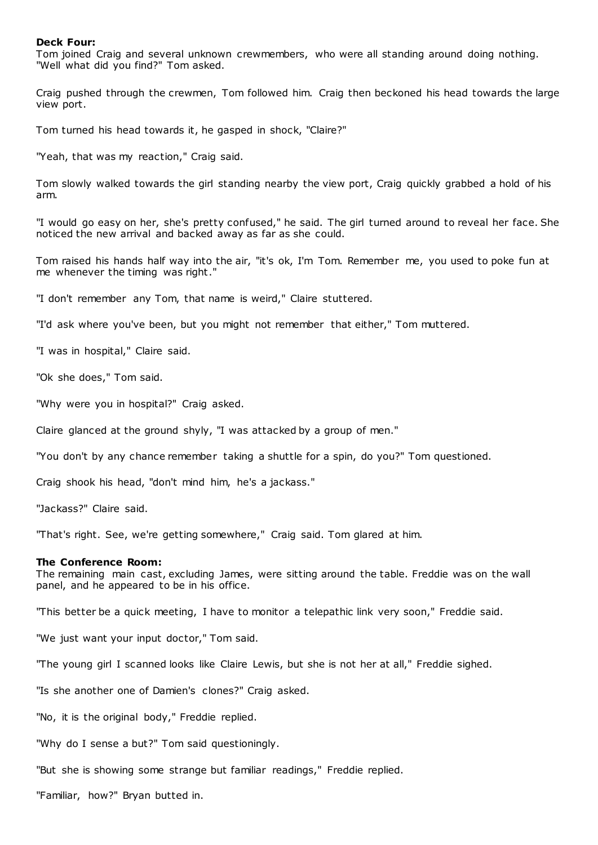# **Deck Four:**

Tom joined Craig and several unknown crewmembers, who were all standing around doing nothing. "Well what did you find?" Tom asked.

Craig pushed through the crewmen, Tom followed him. Craig then beckoned his head towards the large view port.

Tom turned his head towards it, he gasped in shock, "Claire?"

"Yeah, that was my reaction," Craig said.

Tom slowly walked towards the girl standing nearby the view port, Craig quickly grabbed a hold of his arm.

"I would go easy on her, she's pretty confused," he said. The girl turned around to reveal her face. She noticed the new arrival and backed away as far as she could.

Tom raised his hands half way into the air, "it's ok, I'm Tom. Remember me, you used to poke fun at me whenever the timing was right."

"I don't remember any Tom, that name is weird," Claire stuttered.

"I'd ask where you've been, but you might not remember that either," Tom muttered.

"I was in hospital," Claire said.

"Ok she does," Tom said.

"Why were you in hospital?" Craig asked.

Claire glanced at the ground shyly, "I was attacked by a group of men."

"You don't by any chance remember taking a shuttle for a spin, do you?" Tom questioned.

Craig shook his head, "don't mind him, he's a jackass."

"Jackass?" Claire said.

"That's right. See, we're getting somewhere," Craig said. Tom glared at him.

## **The Conference Room:**

The remaining main cast, excluding James, were sitting around the table. Freddie was on the wall panel, and he appeared to be in his office.

"This better be a quick meeting, I have to monitor a telepathic link very soon," Freddie said.

"We just want your input doctor," Tom said.

"The young girl I scanned looks like Claire Lewis, but she is not her at all," Freddie sighed.

"Is she another one of Damien's clones?" Craig asked.

"No, it is the original body," Freddie replied.

"Why do I sense a but?" Tom said questioningly.

"But she is showing some strange but familiar readings," Freddie replied.

"Familiar, how?" Bryan butted in.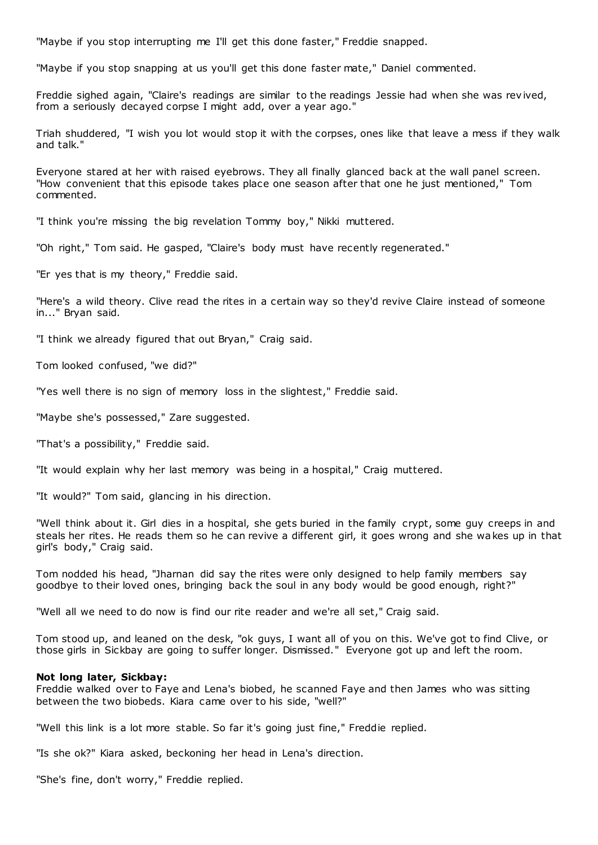"Maybe if you stop interrupting me I'll get this done faster," Freddie snapped.

"Maybe if you stop snapping at us you'll get this done faster mate," Daniel commented.

Freddie sighed again, "Claire's readings are similar to the readings Jessie had when she was rev ived, from a seriously decayed corpse I might add, over a year ago."

Triah shuddered, "I wish you lot would stop it with the corpses, ones like that leave a mess if they walk and talk."

Everyone stared at her with raised eyebrows. They all finally glanced back at the wall panel screen. "How convenient that this episode takes place one season after that one he just mentioned," Tom commented.

"I think you're missing the big revelation Tommy boy," Nikki muttered.

"Oh right," Tom said. He gasped, "Claire's body must have recently regenerated."

"Er yes that is my theory," Freddie said.

"Here's a wild theory. Clive read the rites in a certain way so they'd revive Claire instead of someone in..." Bryan said.

"I think we already figured that out Bryan," Craig said.

Tom looked confused, "we did?"

"Yes well there is no sign of memory loss in the slightest," Freddie said.

"Maybe she's possessed," Zare suggested.

"That's a possibility," Freddie said.

"It would explain why her last memory was being in a hospital," Craig muttered.

"It would?" Tom said, glancing in his direction.

"Well think about it. Girl dies in a hospital, she gets buried in the family crypt, some guy creeps in and steals her rites. He reads them so he can revive a different girl, it goes wrong and she wakes up in that girl's body," Craig said.

Tom nodded his head, "Jharnan did say the rites were only designed to help family members say goodbye to their loved ones, bringing back the soul in any body would be good enough, right?"

"Well all we need to do now is find our rite reader and we're all set," Craig said.

Tom stood up, and leaned on the desk, "ok guys, I want all of you on this. We've got to find Clive, or those girls in Sickbay are going to suffer longer. Dismissed." Everyone got up and left the room.

# **Not long later, Sickbay:**

Freddie walked over to Faye and Lena's biobed, he scanned Faye and then James who was sitting between the two biobeds. Kiara came over to his side, "well?"

"Well this link is a lot more stable. So far it's going just fine," Freddie replied.

"Is she ok?" Kiara asked, beckoning her head in Lena's direction.

"She's fine, don't worry," Freddie replied.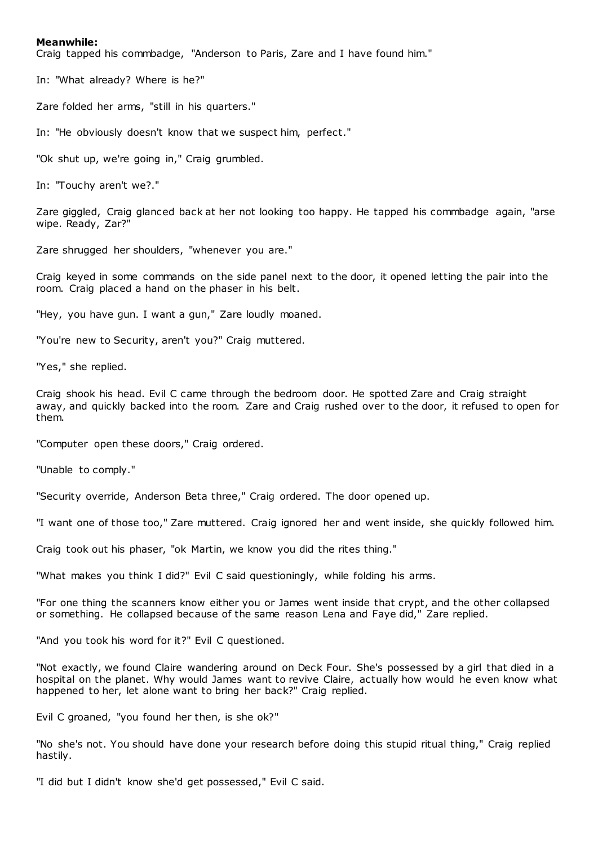# **Meanwhile:**

Craig tapped his commbadge, "Anderson to Paris, Zare and I have found him."

In: "What already? Where is he?"

Zare folded her arms, "still in his quarters."

In: "He obviously doesn't know that we suspect him, perfect."

"Ok shut up, we're going in," Craig grumbled.

In: "Touchy aren't we?."

Zare giggled, Craig glanced back at her not looking too happy. He tapped his commbadge again, "arse wipe. Ready, Zar?"

Zare shrugged her shoulders, "whenever you are."

Craig keyed in some commands on the side panel next to the door, it opened letting the pair into the room. Craig placed a hand on the phaser in his belt.

"Hey, you have gun. I want a gun," Zare loudly moaned.

"You're new to Security, aren't you?" Craig muttered.

"Yes," she replied.

Craig shook his head. Evil C came through the bedroom door. He spotted Zare and Craig straight away, and quickly backed into the room. Zare and Craig rushed over to the door, it refused to open for them.

"Computer open these doors," Craig ordered.

"Unable to comply."

"Security override, Anderson Beta three," Craig ordered. The door opened up.

"I want one of those too," Zare muttered. Craig ignored her and went inside, she quickly followed him.

Craig took out his phaser, "ok Martin, we know you did the rites thing."

"What makes you think I did?" Evil C said questioningly, while folding his arms.

"For one thing the scanners know either you or James went inside that crypt, and the other collapsed or something. He collapsed because of the same reason Lena and Faye did," Zare replied.

"And you took his word for it?" Evil C questioned.

"Not exactly, we found Claire wandering around on Deck Four. She's possessed by a girl that died in a hospital on the planet. Why would James want to revive Claire, actually how would he even know what happened to her, let alone want to bring her back?" Craig replied.

Evil C groaned, "you found her then, is she ok?"

"No she's not. You should have done your research before doing this stupid ritual thing," Craig replied hastily.

"I did but I didn't know she'd get possessed," Evil C said.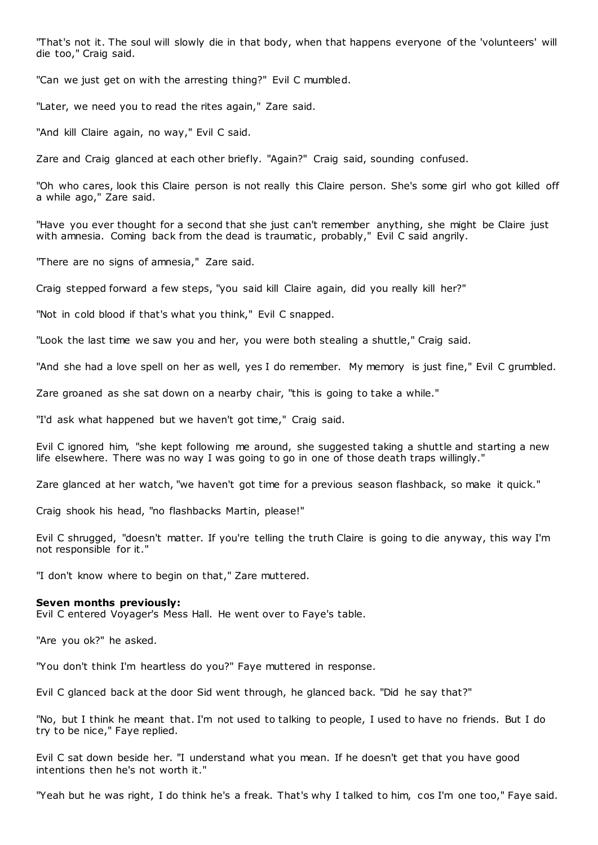"That's not it. The soul will slowly die in that body, when that happens everyone of the 'volunteers' will die too," Craig said.

"Can we just get on with the arresting thing?" Evil C mumbled.

"Later, we need you to read the rites again," Zare said.

"And kill Claire again, no way," Evil C said.

Zare and Craig glanced at each other briefly. "Again?" Craig said, sounding confused.

"Oh who cares, look this Claire person is not really this Claire person. She's some girl who got killed off a while ago," Zare said.

"Have you ever thought for a second that she just can't remember anything, she might be Claire just with amnesia. Coming back from the dead is traumatic, probably," Evil C said angrily.

"There are no signs of amnesia," Zare said.

Craig stepped forward a few steps, "you said kill Claire again, did you really kill her?"

"Not in cold blood if that's what you think," Evil C snapped.

"Look the last time we saw you and her, you were both stealing a shuttle," Craig said.

"And she had a love spell on her as well, yes I do remember. My memory is just fine," Evil C grumbled.

Zare groaned as she sat down on a nearby chair, "this is going to take a while."

"I'd ask what happened but we haven't got time," Craig said.

Evil C ignored him, "she kept following me around, she suggested taking a shuttle and starting a new life elsewhere. There was no way I was going to go in one of those death traps willingly."

Zare glanced at her watch, "we haven't got time for a previous season flashback, so make it quick."

Craig shook his head, "no flashbacks Martin, please!"

Evil C shrugged, "doesn't matter. If you're telling the truth Claire is going to die anyway, this way I'm not responsible for it."

"I don't know where to begin on that," Zare muttered.

# **Seven months previously:**

Evil C entered Voyager's Mess Hall. He went over to Faye's table.

"Are you ok?" he asked.

"You don't think I'm heartless do you?" Faye muttered in response.

Evil C glanced back at the door Sid went through, he glanced back. "Did he say that?"

"No, but I think he meant that. I'm not used to talking to people, I used to have no friends. But I do try to be nice," Faye replied.

Evil C sat down beside her. "I understand what you mean. If he doesn't get that you have good intentions then he's not worth it."

"Yeah but he was right, I do think he's a freak. That's why I talked to him, cos I'm one too," Faye said.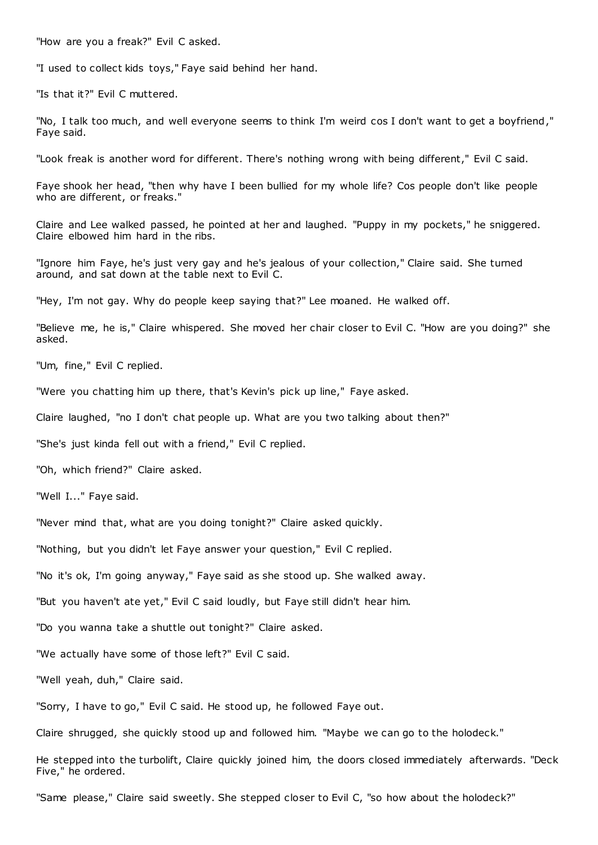"How are you a freak?" Evil C asked.

"I used to collect kids toys," Faye said behind her hand.

"Is that it?" Evil C muttered.

"No, I talk too much, and well everyone seems to think I'm weird cos I don't want to get a boyfriend," Faye said.

"Look freak is another word for different. There's nothing wrong with being different," Evil C said.

Faye shook her head, "then why have I been bullied for my whole life? Cos people don't like people who are different, or freaks."

Claire and Lee walked passed, he pointed at her and laughed. "Puppy in my pockets," he sniggered. Claire elbowed him hard in the ribs.

"Ignore him Faye, he's just very gay and he's jealous of your collection," Claire said. She turned around, and sat down at the table next to Evil C.

"Hey, I'm not gay. Why do people keep saying that?" Lee moaned. He walked off.

"Believe me, he is," Claire whispered. She moved her chair closer to Evil C. "How are you doing?" she asked.

"Um, fine," Evil C replied.

"Were you chatting him up there, that's Kevin's pick up line," Faye asked.

Claire laughed, "no I don't chat people up. What are you two talking about then?"

"She's just kinda fell out with a friend," Evil C replied.

"Oh, which friend?" Claire asked.

"Well I..." Faye said.

"Never mind that, what are you doing tonight?" Claire asked quickly.

"Nothing, but you didn't let Faye answer your question," Evil C replied.

"No it's ok, I'm going anyway," Faye said as she stood up. She walked away.

"But you haven't ate yet," Evil C said loudly, but Faye still didn't hear him.

"Do you wanna take a shuttle out tonight?" Claire asked.

"We actually have some of those left?" Evil C said.

"Well yeah, duh," Claire said.

"Sorry, I have to go," Evil C said. He stood up, he followed Faye out.

Claire shrugged, she quickly stood up and followed him. "Maybe we can go to the holodeck."

He stepped into the turbolift, Claire quickly joined him, the doors closed immediately afterwards. "Deck Five," he ordered.

"Same please," Claire said sweetly. She stepped closer to Evil C, "so how about the holodeck?"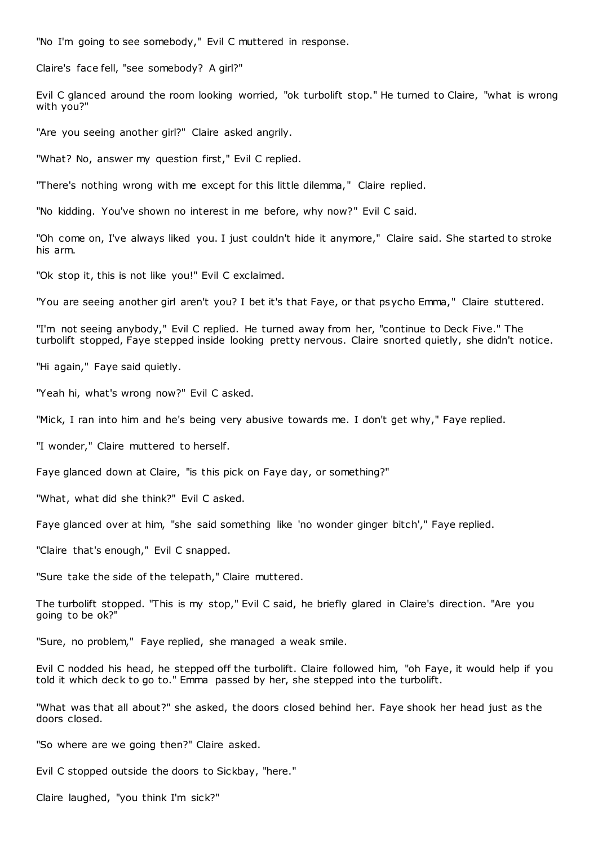"No I'm going to see somebody," Evil C muttered in response.

Claire's face fell, "see somebody? A girl?"

Evil C glanced around the room looking worried, "ok turbolift stop." He turned to Claire, "what is wrong with you?"

"Are you seeing another girl?" Claire asked angrily.

"What? No, answer my question first," Evil C replied.

"There's nothing wrong with me except for this little dilemma," Claire replied.

"No kidding. You've shown no interest in me before, why now?" Evil C said.

"Oh come on, I've always liked you. I just couldn't hide it anymore," Claire said. She started to stroke his arm.

"Ok stop it, this is not like you!" Evil C exclaimed.

"You are seeing another girl aren't you? I bet it's that Faye, or that psycho Emma," Claire stuttered.

"I'm not seeing anybody," Evil C replied. He turned away from her, "continue to Deck Five." The turbolift stopped, Faye stepped inside looking pretty nervous. Claire snorted quietly, she didn't notice.

"Hi again," Faye said quietly.

"Yeah hi, what's wrong now?" Evil C asked.

"Mick, I ran into him and he's being very abusive towards me. I don't get why," Faye replied.

"I wonder," Claire muttered to herself.

Faye glanced down at Claire, "is this pick on Faye day, or something?"

"What, what did she think?" Evil C asked.

Faye glanced over at him, "she said something like 'no wonder ginger bitch'," Faye replied.

"Claire that's enough," Evil C snapped.

"Sure take the side of the telepath," Claire muttered.

The turbolift stopped. "This is my stop," Evil C said, he briefly glared in Claire's direction. "Are you going to be ok?"

"Sure, no problem," Faye replied, she managed a weak smile.

Evil C nodded his head, he stepped off the turbolift. Claire followed him, "oh Faye, it would help if you told it which deck to go to." Emma passed by her, she stepped into the turbolift.

"What was that all about?" she asked, the doors closed behind her. Faye shook her head just as the doors closed.

"So where are we going then?" Claire asked.

Evil C stopped outside the doors to Sickbay, "here."

Claire laughed, "you think I'm sick?"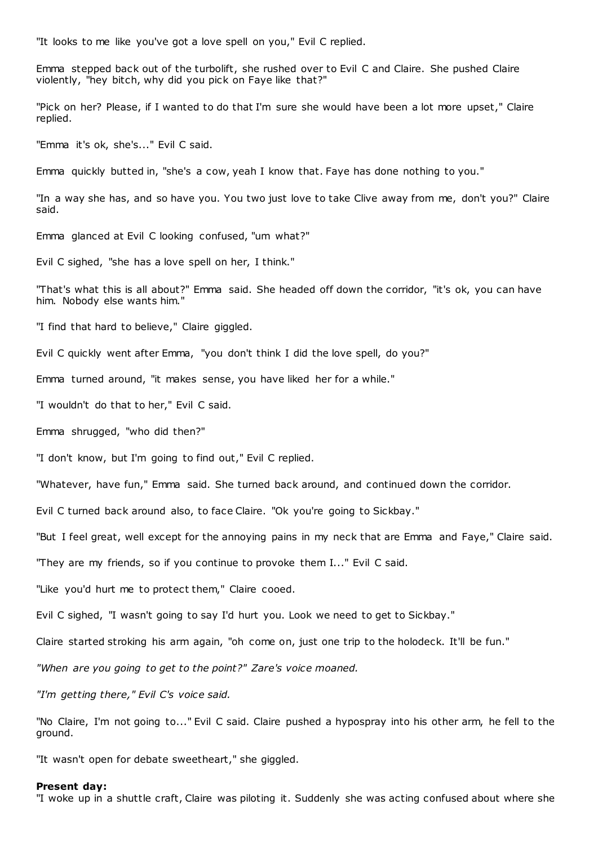"It looks to me like you've got a love spell on you," Evil C replied.

Emma stepped back out of the turbolift, she rushed over to Evil C and Claire. She pushed Claire violently, "hey bitch, why did you pick on Faye like that?"

"Pick on her? Please, if I wanted to do that I'm sure she would have been a lot more upset," Claire replied.

"Emma it's ok, she's..." Evil C said.

Emma quickly butted in, "she's a cow, yeah I know that. Faye has done nothing to you."

"In a way she has, and so have you. You two just love to take Clive away from me, don't you?" Claire said.

Emma glanced at Evil C looking confused, "um what?"

Evil C sighed, "she has a love spell on her, I think."

"That's what this is all about?" Emma said. She headed off down the corridor, "it's ok, you can have him. Nobody else wants him."

"I find that hard to believe," Claire giggled.

Evil C quickly went after Emma, "you don't think I did the love spell, do you?"

Emma turned around, "it makes sense, you have liked her for a while."

"I wouldn't do that to her," Evil C said.

Emma shrugged, "who did then?"

"I don't know, but I'm going to find out," Evil C replied.

"Whatever, have fun," Emma said. She turned back around, and continued down the corridor.

Evil C turned back around also, to face Claire. "Ok you're going to Sickbay."

"But I feel great, well except for the annoying pains in my neck that are Emma and Faye," Claire said.

"They are my friends, so if you continue to provoke them I..." Evil C said.

"Like you'd hurt me to protect them," Claire cooed.

Evil C sighed, "I wasn't going to say I'd hurt you. Look we need to get to Sickbay."

Claire started stroking his arm again, "oh come on, just one trip to the holodeck. It'll be fun."

*"When are you going to get to the point?" Zare's voice moaned.*

*"I'm getting there," Evil C's voice said.*

"No Claire, I'm not going to..." Evil C said. Claire pushed a hypospray into his other arm, he fell to the ground.

"It wasn't open for debate sweetheart," she giggled.

#### **Present day:**

"I woke up in a shuttle craft, Claire was piloting it. Suddenly she was acting confused about where she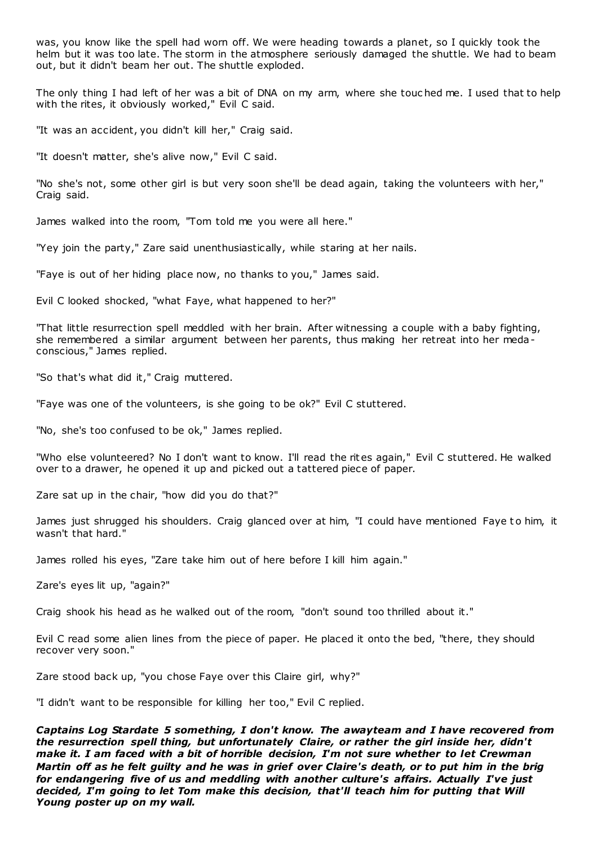was, you know like the spell had worn off. We were heading towards a planet, so I quickly took the helm but it was too late. The storm in the atmosphere seriously damaged the shuttle. We had to beam out, but it didn't beam her out. The shuttle exploded.

The only thing I had left of her was a bit of DNA on my arm, where she touc hed me. I used that to help with the rites, it obviously worked," Evil C said.

"It was an accident, you didn't kill her," Craig said.

"It doesn't matter, she's alive now," Evil C said.

"No she's not, some other girl is but very soon she'll be dead again, taking the volunteers with her," Craig said.

James walked into the room, "Tom told me you were all here."

"Yey join the party," Zare said unenthusiastically, while staring at her nails.

"Faye is out of her hiding place now, no thanks to you," James said.

Evil C looked shocked, "what Faye, what happened to her?"

"That little resurrection spell meddled with her brain. After witnessing a couple with a baby fighting, she remembered a similar argument between her parents, thus making her retreat into her medaconscious," James replied.

"So that's what did it," Craig muttered.

"Faye was one of the volunteers, is she going to be ok?" Evil C stuttered.

"No, she's too confused to be ok," James replied.

"Who else volunteered? No I don't want to know. I'll read the rites again," Evil C stuttered. He walked over to a drawer, he opened it up and picked out a tattered piece of paper.

Zare sat up in the chair, "how did you do that?"

James just shrugged his shoulders. Craig glanced over at him, "I could have mentioned Faye to him, it wasn't that hard."

James rolled his eyes, "Zare take him out of here before I kill him again."

Zare's eyes lit up, "again?"

Craig shook his head as he walked out of the room, "don't sound too thrilled about it."

Evil C read some alien lines from the piece of paper. He placed it onto the bed, "there, they should recover very soon."

Zare stood back up, "you chose Faye over this Claire girl, why?"

"I didn't want to be responsible for killing her too," Evil C replied.

*Captains Log Stardate 5 something, I don't know. The awayteam and I have recovered from the resurrection spell thing, but unfortunately Claire, or rather the girl inside her, didn't make it. I am faced with a bit of horrible decision, I'm not sure whether to let Crewman Martin off as he felt guilty and he was in grief over Claire's death, or to put him in the brig for endangering five of us and meddling with another culture's affairs. Actually I've just decided, I'm going to let Tom make this decision, that'll teach him for putting that Will Young poster up on my wall.*